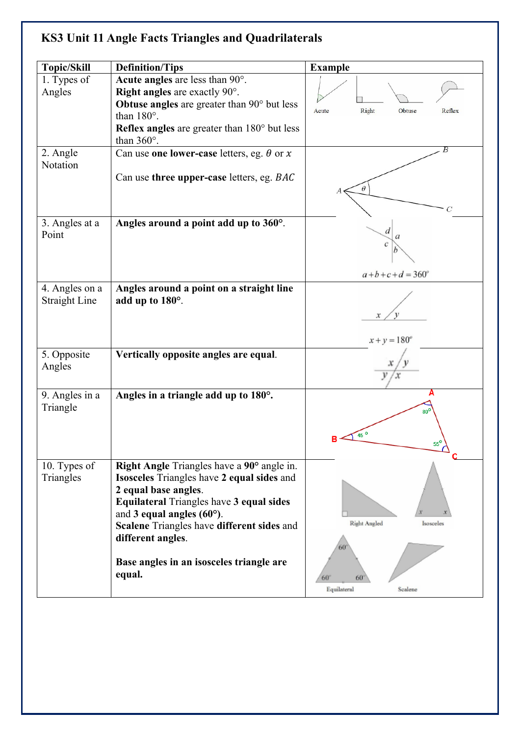## **KS3 Unit 11 Angle Facts Triangles and Quadrilaterals**

| <b>Topic/Skill</b>                     | <b>Definition/Tips</b>                                                                                                                                                                                                                                                                                                    | <b>Example</b>                                |
|----------------------------------------|---------------------------------------------------------------------------------------------------------------------------------------------------------------------------------------------------------------------------------------------------------------------------------------------------------------------------|-----------------------------------------------|
| 1. Types of<br>Angles                  | Acute angles are less than 90°.<br><b>Right angles</b> are exactly $90^\circ$ .<br>Obtuse angles are greater than $90^\circ$ but less<br>than $180^\circ$ .                                                                                                                                                               | Right<br>Acute<br>Obtuse<br>Reflex            |
|                                        | <b>Reflex angles</b> are greater than $180^\circ$ but less<br>than $360^\circ$ .                                                                                                                                                                                                                                          |                                               |
| 2. Angle<br>Notation                   | Can use one lower-case letters, eg. $\theta$ or x                                                                                                                                                                                                                                                                         |                                               |
|                                        | Can use three upper-case letters, eg. BAC                                                                                                                                                                                                                                                                                 | θ<br>C                                        |
| 3. Angles at a<br>Point                | Angles around a point add up to 360°.                                                                                                                                                                                                                                                                                     | d<br>$a+b+c+d = 360^{\circ}$                  |
| 4. Angles on a<br><b>Straight Line</b> | Angles around a point on a straight line<br>add up to 180°.                                                                                                                                                                                                                                                               | $x + y = 180^{\circ}$                         |
| 5. Opposite<br>Angles                  | Vertically opposite angles are equal.                                                                                                                                                                                                                                                                                     |                                               |
| 9. Angles in a<br>Triangle             | Angles in a triangle add up to $180^\circ$ .                                                                                                                                                                                                                                                                              | 80 <sup>6</sup><br>55 <sup>c</sup><br>┶<br>C  |
| 10. Types of<br>Triangles              | Right Angle Triangles have a 90° angle in.<br><b>Isosceles</b> Triangles have 2 equal sides and<br>2 equal base angles.<br>Equilateral Triangles have 3 equal sides<br>and 3 equal angles $(60^{\circ})$ .<br>Scalene Triangles have different sides and<br>different angles.<br>Base angles in an isosceles triangle are | Right Angled<br>Isosceles<br>60               |
|                                        | equal.                                                                                                                                                                                                                                                                                                                    | $60^{\circ}$<br>60°<br>Equilateral<br>Scalene |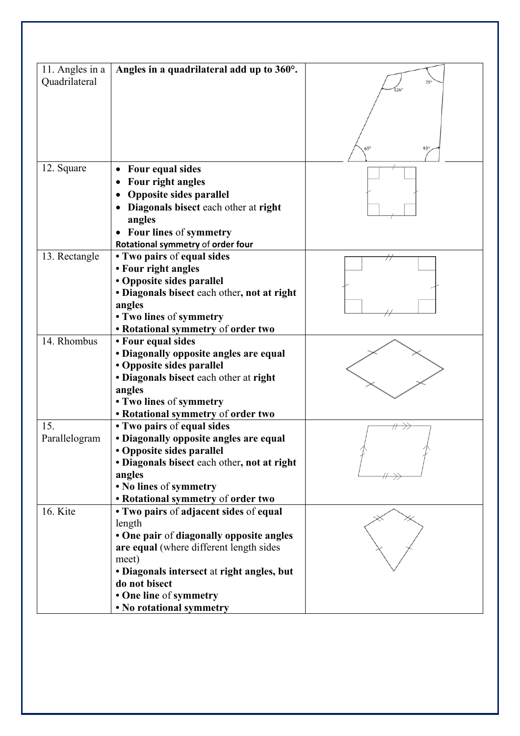| 11. Angles in a | Angles in a quadrilateral add up to 360°.      |                          |
|-----------------|------------------------------------------------|--------------------------|
| Quadrilateral   |                                                |                          |
|                 |                                                |                          |
|                 |                                                |                          |
|                 |                                                |                          |
|                 |                                                |                          |
|                 |                                                |                          |
|                 |                                                | $65^\circ$<br>$93^\circ$ |
| 12. Square      | Four equal sides                               |                          |
|                 | Four right angles                              |                          |
|                 |                                                |                          |
|                 | Opposite sides parallel                        |                          |
|                 | Diagonals bisect each other at right<br>angles |                          |
|                 | • Four lines of symmetry                       |                          |
|                 | Rotational symmetry of order four              |                          |
| 13. Rectangle   | • Two pairs of equal sides                     |                          |
|                 | • Four right angles                            |                          |
|                 | • Opposite sides parallel                      |                          |
|                 | • Diagonals bisect each other, not at right    |                          |
|                 | angles                                         |                          |
|                 | • Two lines of symmetry                        |                          |
|                 | • Rotational symmetry of order two             |                          |
| 14. Rhombus     | • Four equal sides                             |                          |
|                 | • Diagonally opposite angles are equal         |                          |
|                 | • Opposite sides parallel                      |                          |
|                 | • Diagonals bisect each other at right         |                          |
|                 | angles                                         |                          |
|                 | • Two lines of symmetry                        |                          |
|                 | • Rotational symmetry of order two             |                          |
| 15.             | • Two pairs of equal sides                     |                          |
| Parallelogram   | • Diagonally opposite angles are equal         |                          |
|                 | • Opposite sides parallel                      |                          |
|                 | · Diagonals bisect each other, not at right    |                          |
|                 | angles                                         |                          |
|                 | • No lines of symmetry                         |                          |
|                 | • Rotational symmetry of order two             |                          |
| 16. Kite        | • Two pairs of adjacent sides of equal         |                          |
|                 | length                                         |                          |
|                 | • One pair of diagonally opposite angles       |                          |
|                 | are equal (where different length sides        |                          |
|                 | meet)                                          |                          |
|                 | • Diagonals intersect at right angles, but     |                          |
|                 | do not bisect                                  |                          |
|                 | • One line of symmetry                         |                          |
|                 | • No rotational symmetry                       |                          |
|                 |                                                |                          |